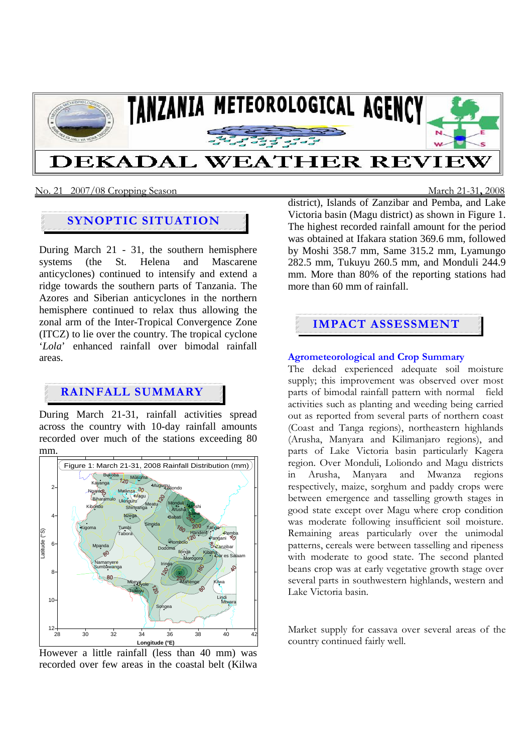

## No. 21 2007/08 Cropping Season March 21-31**,** 2008

# **SYNOPTIC SITUATION**

During March 21 - 31, the southern hemisphere systems (the St. Helena and Mascarene anticyclones) continued to intensify and extend a ridge towards the southern parts of Tanzania. The Azores and Siberian anticyclones in the northern hemisphere continued to relax thus allowing the zonal arm of the Inter-Tropical Convergence Zone (ITCZ) to lie over the country. The tropical cyclone '*Lola*' enhanced rainfall over bimodal rainfall areas.

## **RAINFALL SUMMARY**

During March 21-31, rainfall activities spread across the country with 10-day rainfall amounts recorded over much of the stations exceeding 80 mm.



However a little rainfall (less than 40 mm) was recorded over few areas in the coastal belt (Kilwa

district), Islands of Zanzibar and Pemba, and Lake Victoria basin (Magu district) as shown in Figure 1. The highest recorded rainfall amount for the period was obtained at Ifakara station 369.6 mm, followed by Moshi 358.7 mm, Same 315.2 mm, Lyamungo 282.5 mm, Tukuyu 260.5 mm, and Monduli 244.9 mm. More than 80% of the reporting stations had more than 60 mm of rainfall.

# **IMPACT ASSESSMENT**

## **Agrometeorological and Crop Summary**

The dekad experienced adequate soil moisture supply; this improvement was observed over most parts of bimodal rainfall pattern with normal field activities such as planting and weeding being carried out as reported from several parts of northern coast (Coast and Tanga regions), northeastern highlands (Arusha, Manyara and Kilimanjaro regions), and parts of Lake Victoria basin particularly Kagera region. Over Monduli, Loliondo and Magu districts in Arusha, Manyara and Mwanza regions respectively, maize, sorghum and paddy crops were between emergence and tasselling growth stages in good state except over Magu where crop condition was moderate following insufficient soil moisture. Remaining areas particularly over the unimodal patterns, cereals were between tasselling and ripeness with moderate to good state. The second planted beans crop was at early vegetative growth stage over several parts in southwestern highlands, western and Lake Victoria basin.

Market supply for cassava over several areas of the country continued fairly well.